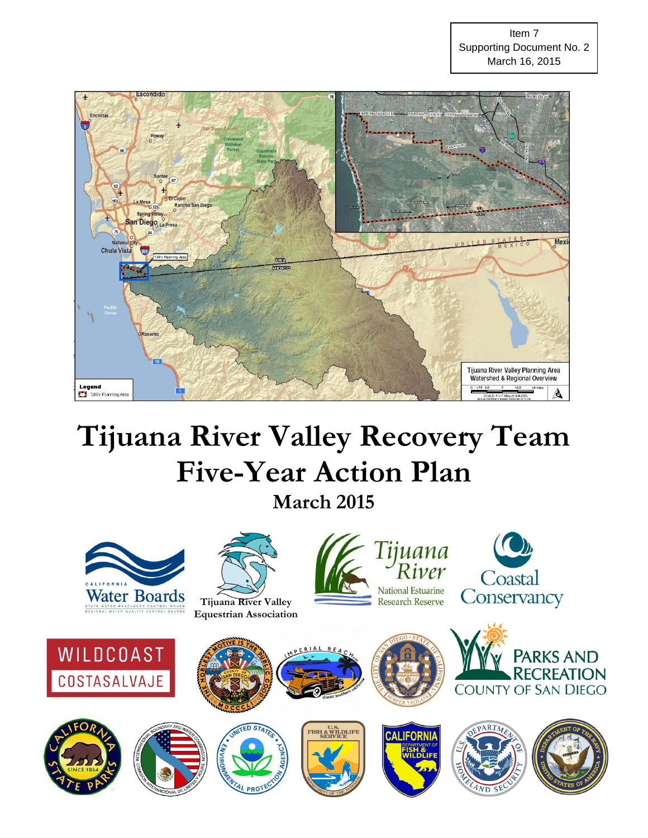

# **Tijuana River Valley Recovery Team Five-Year Action Plan**

**March 2015**

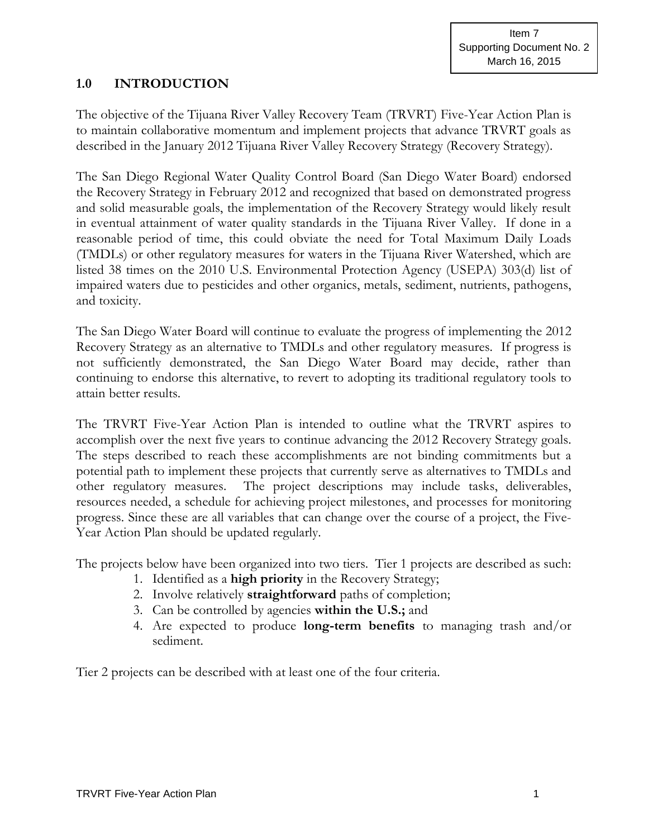## **1.0 INTRODUCTION**

The objective of the Tijuana River Valley Recovery Team (TRVRT) Five-Year Action Plan is to maintain collaborative momentum and implement projects that advance TRVRT goals as described in the January 2012 Tijuana River Valley Recovery Strategy (Recovery Strategy).

The San Diego Regional Water Quality Control Board (San Diego Water Board) endorsed the Recovery Strategy in February 2012 and recognized that based on demonstrated progress and solid measurable goals, the implementation of the Recovery Strategy would likely result in eventual attainment of water quality standards in the Tijuana River Valley. If done in a reasonable period of time, this could obviate the need for Total Maximum Daily Loads (TMDLs) or other regulatory measures for waters in the Tijuana River Watershed, which are listed 38 times on the 2010 U.S. Environmental Protection Agency (USEPA) 303(d) list of impaired waters due to pesticides and other organics, metals, sediment, nutrients, pathogens, and toxicity.

The San Diego Water Board will continue to evaluate the progress of implementing the 2012 Recovery Strategy as an alternative to TMDLs and other regulatory measures. If progress is not sufficiently demonstrated, the San Diego Water Board may decide, rather than continuing to endorse this alternative, to revert to adopting its traditional regulatory tools to attain better results.

The TRVRT Five-Year Action Plan is intended to outline what the TRVRT aspires to accomplish over the next five years to continue advancing the 2012 Recovery Strategy goals. The steps described to reach these accomplishments are not binding commitments but a potential path to implement these projects that currently serve as alternatives to TMDLs and other regulatory measures. The project descriptions may include tasks, deliverables, resources needed, a schedule for achieving project milestones, and processes for monitoring progress. Since these are all variables that can change over the course of a project, the Five-Year Action Plan should be updated regularly.

The projects below have been organized into two tiers. Tier 1 projects are described as such:

- 1. Identified as a **high priority** in the Recovery Strategy;
- 2. Involve relatively **straightforward** paths of completion;
- 3. Can be controlled by agencies **within the U.S.;** and
- 4. Are expected to produce **long-term benefits** to managing trash and/or sediment.

Tier 2 projects can be described with at least one of the four criteria.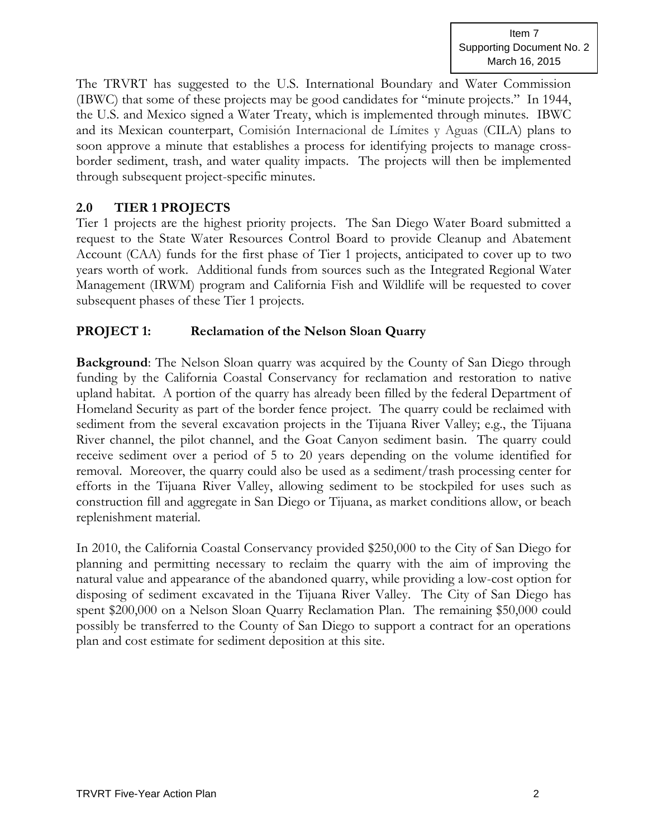The TRVRT has suggested to the U.S. International Boundary and Water Commission (IBWC) that some of these projects may be good candidates for "minute projects." In 1944, the U.S. and Mexico signed a Water Treaty, which is implemented through minutes. IBWC and its Mexican counterpart, Comisión Internacional de Límites y Aguas (CILA) plans to soon approve a minute that establishes a process for identifying projects to manage crossborder sediment, trash, and water quality impacts. The projects will then be implemented through subsequent project-specific minutes.

## **2.0 TIER 1 PROJECTS**

Tier 1 projects are the highest priority projects. The San Diego Water Board submitted a request to the State Water Resources Control Board to provide Cleanup and Abatement Account (CAA) funds for the first phase of Tier 1 projects, anticipated to cover up to two years worth of work. Additional funds from sources such as the Integrated Regional Water Management (IRWM) program and California Fish and Wildlife will be requested to cover subsequent phases of these Tier 1 projects.

## **PROJECT 1: Reclamation of the Nelson Sloan Quarry**

**Background**: The Nelson Sloan quarry was acquired by the County of San Diego through funding by the California Coastal Conservancy for reclamation and restoration to native upland habitat. A portion of the quarry has already been filled by the federal Department of Homeland Security as part of the border fence project. The quarry could be reclaimed with sediment from the several excavation projects in the Tijuana River Valley; e.g., the Tijuana River channel, the pilot channel, and the Goat Canyon sediment basin. The quarry could receive sediment over a period of 5 to 20 years depending on the volume identified for removal. Moreover, the quarry could also be used as a sediment/trash processing center for efforts in the Tijuana River Valley, allowing sediment to be stockpiled for uses such as construction fill and aggregate in San Diego or Tijuana, as market conditions allow, or beach replenishment material.

In 2010, the California Coastal Conservancy provided \$250,000 to the City of San Diego for planning and permitting necessary to reclaim the quarry with the aim of improving the natural value and appearance of the abandoned quarry, while providing a low-cost option for disposing of sediment excavated in the Tijuana River Valley. The City of San Diego has spent \$200,000 on a Nelson Sloan Quarry Reclamation Plan. The remaining \$50,000 could possibly be transferred to the County of San Diego to support a contract for an operations plan and cost estimate for sediment deposition at this site.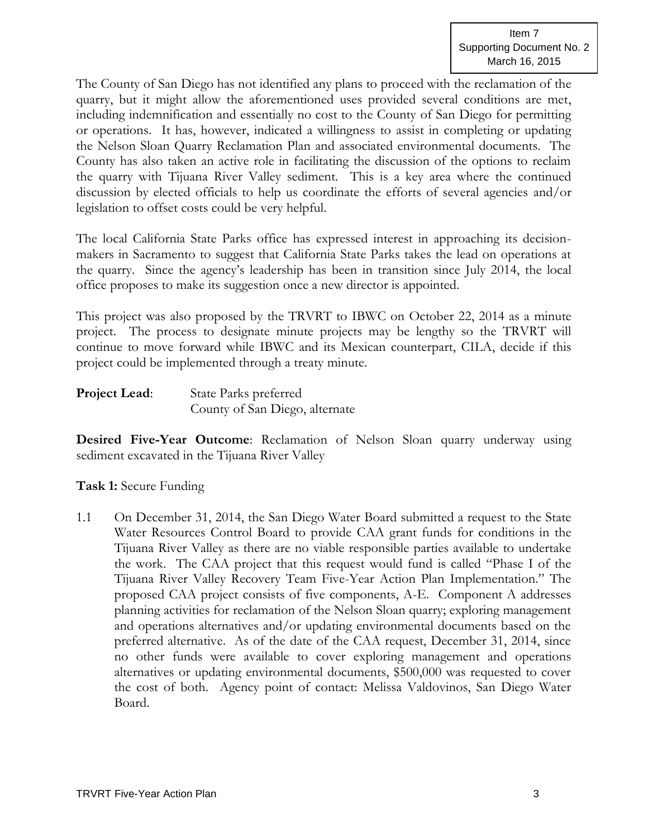The County of San Diego has not identified any plans to proceed with the reclamation of the quarry, but it might allow the aforementioned uses provided several conditions are met, including indemnification and essentially no cost to the County of San Diego for permitting or operations. It has, however, indicated a willingness to assist in completing or updating the Nelson Sloan Quarry Reclamation Plan and associated environmental documents. The County has also taken an active role in facilitating the discussion of the options to reclaim the quarry with Tijuana River Valley sediment. This is a key area where the continued discussion by elected officials to help us coordinate the efforts of several agencies and/or legislation to offset costs could be very helpful.

The local California State Parks office has expressed interest in approaching its decisionmakers in Sacramento to suggest that California State Parks takes the lead on operations at the quarry. Since the agency's leadership has been in transition since July 2014, the local office proposes to make its suggestion once a new director is appointed.

This project was also proposed by the TRVRT to IBWC on October 22, 2014 as a minute project. The process to designate minute projects may be lengthy so the TRVRT will continue to move forward while IBWC and its Mexican counterpart, CILA, decide if this project could be implemented through a treaty minute.

| <b>Project Lead:</b> | State Parks preferred          |
|----------------------|--------------------------------|
|                      | County of San Diego, alternate |

**Desired Five-Year Outcome**: Reclamation of Nelson Sloan quarry underway using sediment excavated in the Tijuana River Valley

**Task 1:** Secure Funding

1.1 On December 31, 2014, the San Diego Water Board submitted a request to the State Water Resources Control Board to provide CAA grant funds for conditions in the Tijuana River Valley as there are no viable responsible parties available to undertake the work. The CAA project that this request would fund is called "Phase I of the Tijuana River Valley Recovery Team Five-Year Action Plan Implementation." The proposed CAA project consists of five components, A-E. Component A addresses planning activities for reclamation of the Nelson Sloan quarry; exploring management and operations alternatives and/or updating environmental documents based on the preferred alternative. As of the date of the CAA request, December 31, 2014, since no other funds were available to cover exploring management and operations alternatives or updating environmental documents, \$500,000 was requested to cover the cost of both. Agency point of contact: Melissa Valdovinos, San Diego Water Board.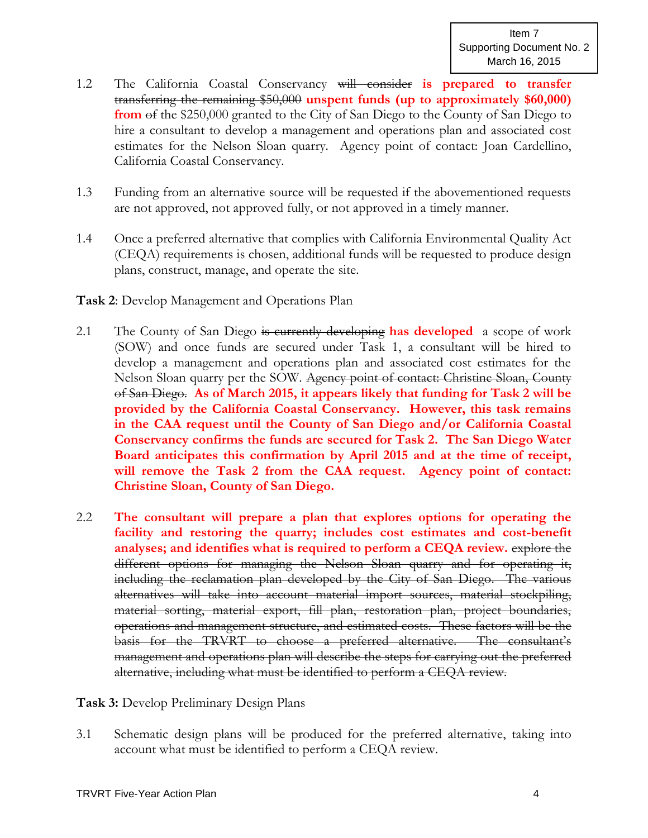- 1.2 The California Coastal Conservancy will consider **is prepared to transfer** transferring the remaining \$50,000 **unspent funds (up to approximately \$60,000) from** of the \$250,000 granted to the City of San Diego to the County of San Diego to hire a consultant to develop a management and operations plan and associated cost estimates for the Nelson Sloan quarry. Agency point of contact: Joan Cardellino, California Coastal Conservancy.
- 1.3 Funding from an alternative source will be requested if the abovementioned requests are not approved, not approved fully, or not approved in a timely manner.
- 1.4 Once a preferred alternative that complies with California Environmental Quality Act (CEQA) requirements is chosen, additional funds will be requested to produce design plans, construct, manage, and operate the site.

## **Task 2**: Develop Management and Operations Plan

- 2.1 The County of San Diego is currently developing **has developed** a scope of work (SOW) and once funds are secured under Task 1, a consultant will be hired to develop a management and operations plan and associated cost estimates for the Nelson Sloan quarry per the SOW. Agency point of contact: Christine Sloan, County of San Diego. **As of March 2015, it appears likely that funding for Task 2 will be provided by the California Coastal Conservancy. However, this task remains in the CAA request until the County of San Diego and/or California Coastal Conservancy confirms the funds are secured for Task 2. The San Diego Water Board anticipates this confirmation by April 2015 and at the time of receipt, will remove the Task 2 from the CAA request. Agency point of contact: Christine Sloan, County of San Diego.**
- 2.2 **The consultant will prepare a plan that explores options for operating the facility and restoring the quarry; includes cost estimates and cost-benefit analyses; and identifies what is required to perform a CEQA review.** explore the different options for managing the Nelson Sloan quarry and for operating it, including the reclamation plan developed by the City of San Diego. The various alternatives will take into account material import sources, material stockpiling, material sorting, material export, fill plan, restoration plan, project boundaries, operations and management structure, and estimated costs. These factors will be the basis for the TRVRT to choose a preferred alternative. The consultant's management and operations plan will describe the steps for carrying out the preferred alternative, including what must be identified to perform a CEQA review.

**Task 3:** Develop Preliminary Design Plans

3.1 Schematic design plans will be produced for the preferred alternative, taking into account what must be identified to perform a CEQA review.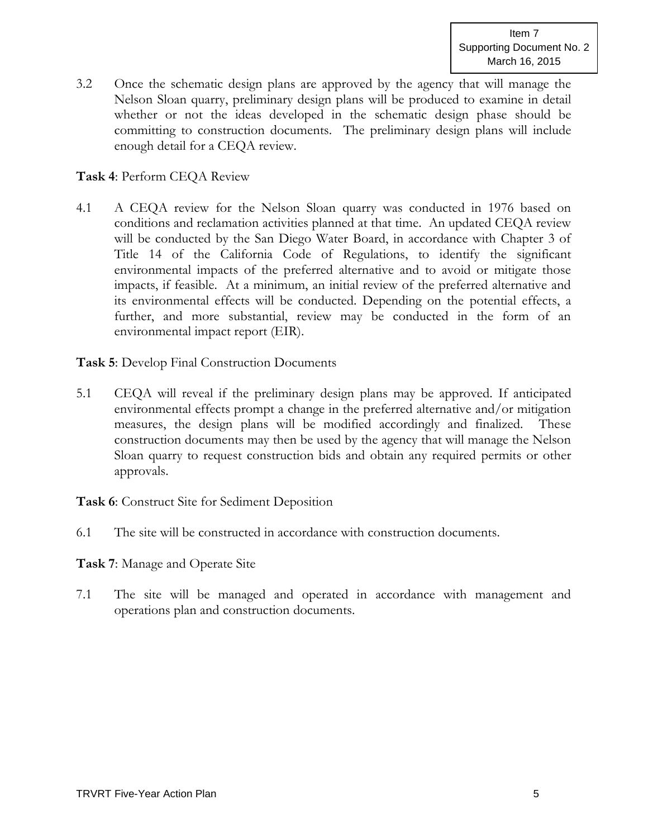3.2 Once the schematic design plans are approved by the agency that will manage the Nelson Sloan quarry, preliminary design plans will be produced to examine in detail whether or not the ideas developed in the schematic design phase should be committing to construction documents. The preliminary design plans will include enough detail for a CEQA review.

## **Task 4**: Perform CEQA Review

4.1 A CEQA review for the Nelson Sloan quarry was conducted in 1976 based on conditions and reclamation activities planned at that time. An updated CEQA review will be conducted by the San Diego Water Board, in accordance with Chapter 3 of Title 14 of the California Code of Regulations, to identify the significant environmental impacts of the preferred alternative and to avoid or mitigate those impacts, if feasible. At a minimum, an initial review of the preferred alternative and its environmental effects will be conducted. Depending on the potential effects, a further, and more substantial, review may be conducted in the form of an environmental impact report (EIR).

**Task 5**: Develop Final Construction Documents

5.1 CEQA will reveal if the preliminary design plans may be approved. If anticipated environmental effects prompt a change in the preferred alternative and/or mitigation measures, the design plans will be modified accordingly and finalized. These construction documents may then be used by the agency that will manage the Nelson Sloan quarry to request construction bids and obtain any required permits or other approvals.

**Task 6**: Construct Site for Sediment Deposition

6.1 The site will be constructed in accordance with construction documents.

**Task 7**: Manage and Operate Site

7.1 The site will be managed and operated in accordance with management and operations plan and construction documents.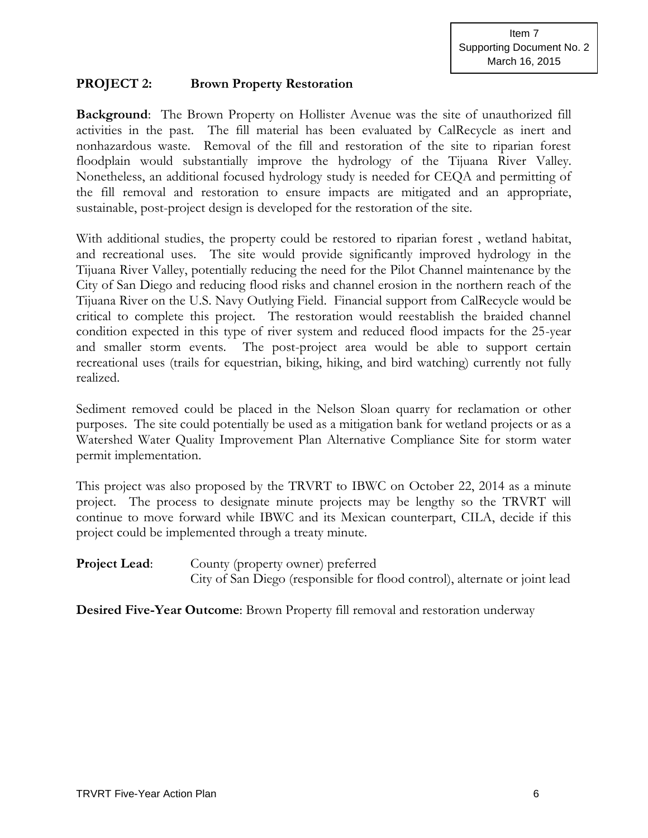#### **PROJECT 2: Brown Property Restoration**

**Background**: The Brown Property on Hollister Avenue was the site of unauthorized fill activities in the past. The fill material has been evaluated by CalRecycle as inert and nonhazardous waste. Removal of the fill and restoration of the site to riparian forest floodplain would substantially improve the hydrology of the Tijuana River Valley. Nonetheless, an additional focused hydrology study is needed for CEQA and permitting of the fill removal and restoration to ensure impacts are mitigated and an appropriate, sustainable, post-project design is developed for the restoration of the site.

With additional studies, the property could be restored to riparian forest , wetland habitat, and recreational uses. The site would provide significantly improved hydrology in the Tijuana River Valley, potentially reducing the need for the Pilot Channel maintenance by the City of San Diego and reducing flood risks and channel erosion in the northern reach of the Tijuana River on the U.S. Navy Outlying Field. Financial support from CalRecycle would be critical to complete this project. The restoration would reestablish the braided channel condition expected in this type of river system and reduced flood impacts for the 25-year and smaller storm events. The post-project area would be able to support certain recreational uses (trails for equestrian, biking, hiking, and bird watching) currently not fully realized.

Sediment removed could be placed in the Nelson Sloan quarry for reclamation or other purposes. The site could potentially be used as a mitigation bank for wetland projects or as a Watershed Water Quality Improvement Plan Alternative Compliance Site for storm water permit implementation.

This project was also proposed by the TRVRT to IBWC on October 22, 2014 as a minute project. The process to designate minute projects may be lengthy so the TRVRT will continue to move forward while IBWC and its Mexican counterpart, CILA, decide if this project could be implemented through a treaty minute.

**Project Lead:** County (property owner) preferred City of San Diego (responsible for flood control), alternate or joint lead

**Desired Five-Year Outcome**: Brown Property fill removal and restoration underway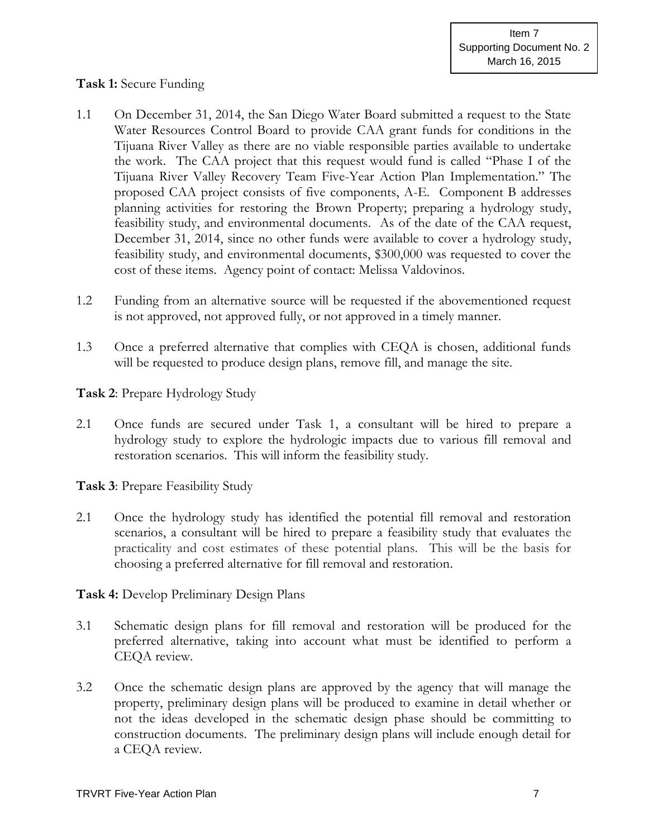## **Task 1:** Secure Funding

- 1.1 On December 31, 2014, the San Diego Water Board submitted a request to the State Water Resources Control Board to provide CAA grant funds for conditions in the Tijuana River Valley as there are no viable responsible parties available to undertake the work. The CAA project that this request would fund is called "Phase I of the Tijuana River Valley Recovery Team Five-Year Action Plan Implementation." The proposed CAA project consists of five components, A-E. Component B addresses planning activities for restoring the Brown Property; preparing a hydrology study, feasibility study, and environmental documents. As of the date of the CAA request, December 31, 2014, since no other funds were available to cover a hydrology study, feasibility study, and environmental documents, \$300,000 was requested to cover the cost of these items. Agency point of contact: Melissa Valdovinos.
- 1.2 Funding from an alternative source will be requested if the abovementioned request is not approved, not approved fully, or not approved in a timely manner.
- 1.3 Once a preferred alternative that complies with CEQA is chosen, additional funds will be requested to produce design plans, remove fill, and manage the site.

**Task 2**: Prepare Hydrology Study

2.1 Once funds are secured under Task 1, a consultant will be hired to prepare a hydrology study to explore the hydrologic impacts due to various fill removal and restoration scenarios. This will inform the feasibility study.

**Task 3**: Prepare Feasibility Study

2.1 Once the hydrology study has identified the potential fill removal and restoration scenarios, a consultant will be hired to prepare a feasibility study that evaluates the practicality and cost estimates of these potential plans. This will be the basis for choosing a preferred alternative for fill removal and restoration.

**Task 4:** Develop Preliminary Design Plans

- 3.1 Schematic design plans for fill removal and restoration will be produced for the preferred alternative, taking into account what must be identified to perform a CEQA review.
- 3.2 Once the schematic design plans are approved by the agency that will manage the property, preliminary design plans will be produced to examine in detail whether or not the ideas developed in the schematic design phase should be committing to construction documents. The preliminary design plans will include enough detail for a CEQA review.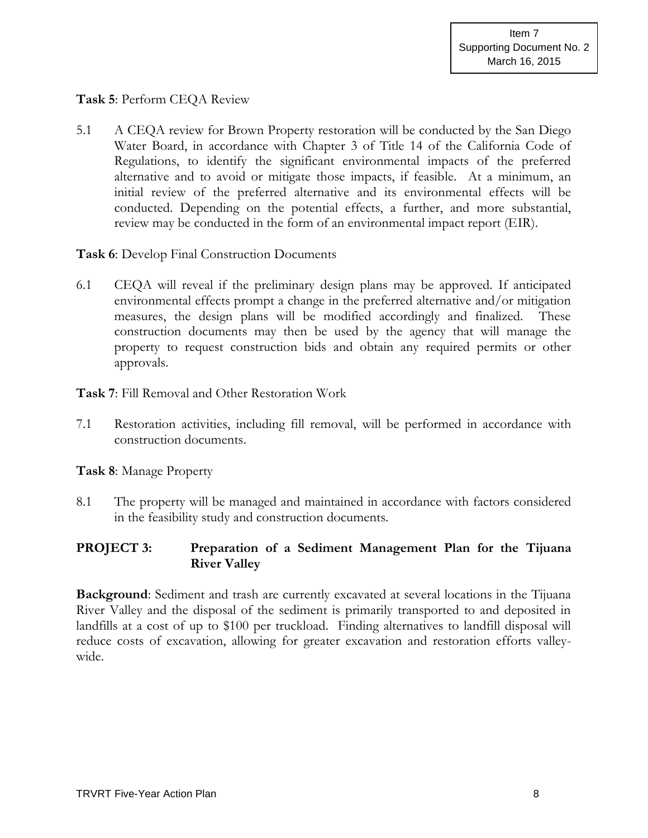# **Task 5**: Perform CEQA Review

5.1 A CEQA review for Brown Property restoration will be conducted by the San Diego Water Board, in accordance with Chapter 3 of Title 14 of the California Code of Regulations, to identify the significant environmental impacts of the preferred alternative and to avoid or mitigate those impacts, if feasible. At a minimum, an initial review of the preferred alternative and its environmental effects will be conducted. Depending on the potential effects, a further, and more substantial, review may be conducted in the form of an environmental impact report (EIR).

## **Task 6**: Develop Final Construction Documents

6.1 CEQA will reveal if the preliminary design plans may be approved. If anticipated environmental effects prompt a change in the preferred alternative and/or mitigation measures, the design plans will be modified accordingly and finalized. These construction documents may then be used by the agency that will manage the property to request construction bids and obtain any required permits or other approvals.

**Task 7**: Fill Removal and Other Restoration Work

7.1 Restoration activities, including fill removal, will be performed in accordance with construction documents.

#### **Task 8**: Manage Property

8.1 The property will be managed and maintained in accordance with factors considered in the feasibility study and construction documents.

# **PROJECT 3: Preparation of a Sediment Management Plan for the Tijuana River Valley**

**Background**: Sediment and trash are currently excavated at several locations in the Tijuana River Valley and the disposal of the sediment is primarily transported to and deposited in landfills at a cost of up to \$100 per truckload. Finding alternatives to landfill disposal will reduce costs of excavation, allowing for greater excavation and restoration efforts valleywide.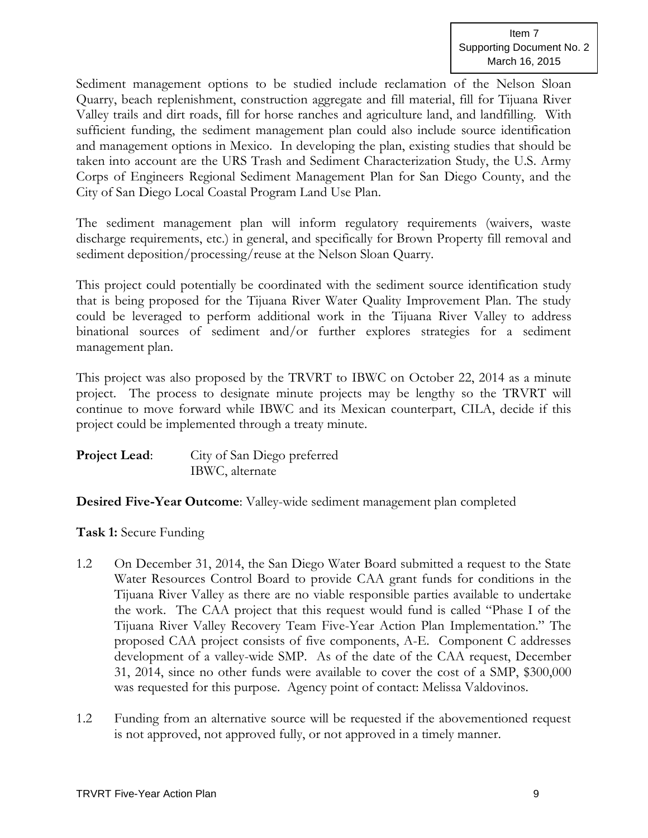Sediment management options to be studied include reclamation of the Nelson Sloan Quarry, beach replenishment, construction aggregate and fill material, fill for Tijuana River Valley trails and dirt roads, fill for horse ranches and agriculture land, and landfilling. With sufficient funding, the sediment management plan could also include source identification and management options in Mexico. In developing the plan, existing studies that should be taken into account are the URS Trash and Sediment Characterization Study, the U.S. Army Corps of Engineers Regional Sediment Management Plan for San Diego County, and the City of San Diego Local Coastal Program Land Use Plan.

The sediment management plan will inform regulatory requirements (waivers, waste discharge requirements, etc.) in general, and specifically for Brown Property fill removal and sediment deposition/processing/reuse at the Nelson Sloan Quarry.

This project could potentially be coordinated with the sediment source identification study that is being proposed for the Tijuana River Water Quality Improvement Plan. The study could be leveraged to perform additional work in the Tijuana River Valley to address binational sources of sediment and/or further explores strategies for a sediment management plan.

This project was also proposed by the TRVRT to IBWC on October 22, 2014 as a minute project. The process to designate minute projects may be lengthy so the TRVRT will continue to move forward while IBWC and its Mexican counterpart, CILA, decide if this project could be implemented through a treaty minute.

| <b>Project Lead:</b> | City of San Diego preferred |
|----------------------|-----------------------------|
|                      | IBWC, alternate             |

**Desired Five-Year Outcome**: Valley-wide sediment management plan completed

**Task 1:** Secure Funding

- 1.2 On December 31, 2014, the San Diego Water Board submitted a request to the State Water Resources Control Board to provide CAA grant funds for conditions in the Tijuana River Valley as there are no viable responsible parties available to undertake the work. The CAA project that this request would fund is called "Phase I of the Tijuana River Valley Recovery Team Five-Year Action Plan Implementation." The proposed CAA project consists of five components, A-E. Component C addresses development of a valley-wide SMP. As of the date of the CAA request, December 31, 2014, since no other funds were available to cover the cost of a SMP, \$300,000 was requested for this purpose. Agency point of contact: Melissa Valdovinos.
- 1.2 Funding from an alternative source will be requested if the abovementioned request is not approved, not approved fully, or not approved in a timely manner.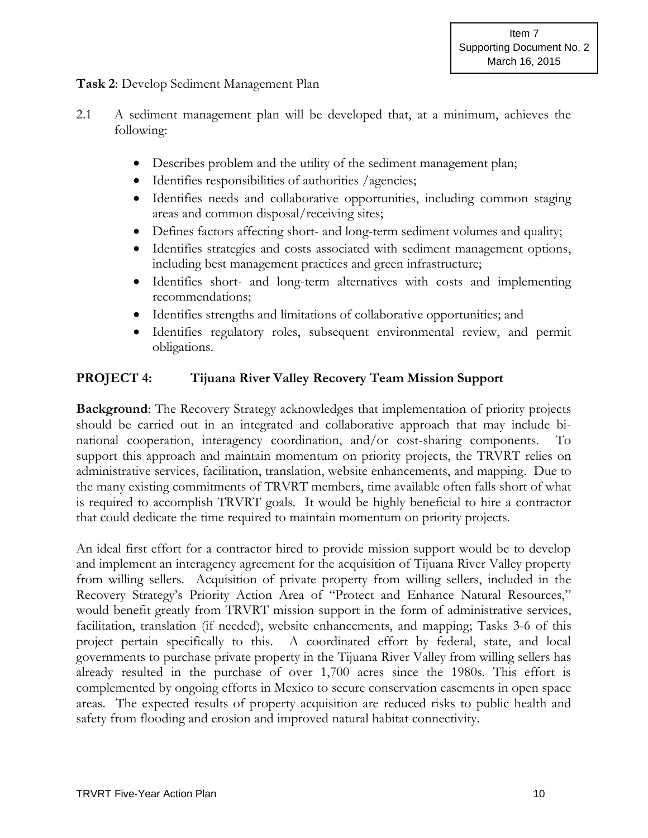## **Task 2**: Develop Sediment Management Plan

- 2.1 A sediment management plan will be developed that, at a minimum, achieves the following:
	- Describes problem and the utility of the sediment management plan;
	- Identifies responsibilities of authorities /agencies;
	- Identifies needs and collaborative opportunities, including common staging areas and common disposal/receiving sites;
	- Defines factors affecting short- and long-term sediment volumes and quality;
	- Identifies strategies and costs associated with sediment management options, including best management practices and green infrastructure;
	- Identifies short- and long-term alternatives with costs and implementing recommendations;
	- Identifies strengths and limitations of collaborative opportunities; and
	- Identifies regulatory roles, subsequent environmental review, and permit obligations.

## **PROJECT 4: Tijuana River Valley Recovery Team Mission Support**

**Background**: The Recovery Strategy acknowledges that implementation of priority projects should be carried out in an integrated and collaborative approach that may include binational cooperation, interagency coordination, and/or cost-sharing components. To support this approach and maintain momentum on priority projects, the TRVRT relies on administrative services, facilitation, translation, website enhancements, and mapping. Due to the many existing commitments of TRVRT members, time available often falls short of what is required to accomplish TRVRT goals. It would be highly beneficial to hire a contractor that could dedicate the time required to maintain momentum on priority projects.

An ideal first effort for a contractor hired to provide mission support would be to develop and implement an interagency agreement for the acquisition of Tijuana River Valley property from willing sellers. Acquisition of private property from willing sellers, included in the Recovery Strategy's Priority Action Area of "Protect and Enhance Natural Resources," would benefit greatly from TRVRT mission support in the form of administrative services, facilitation, translation (if needed), website enhancements, and mapping; Tasks 3-6 of this project pertain specifically to this. A coordinated effort by federal, state, and local governments to purchase private property in the Tijuana River Valley from willing sellers has already resulted in the purchase of over 1,700 acres since the 1980s. This effort is complemented by ongoing efforts in Mexico to secure conservation easements in open space areas. The expected results of property acquisition are reduced risks to public health and safety from flooding and erosion and improved natural habitat connectivity.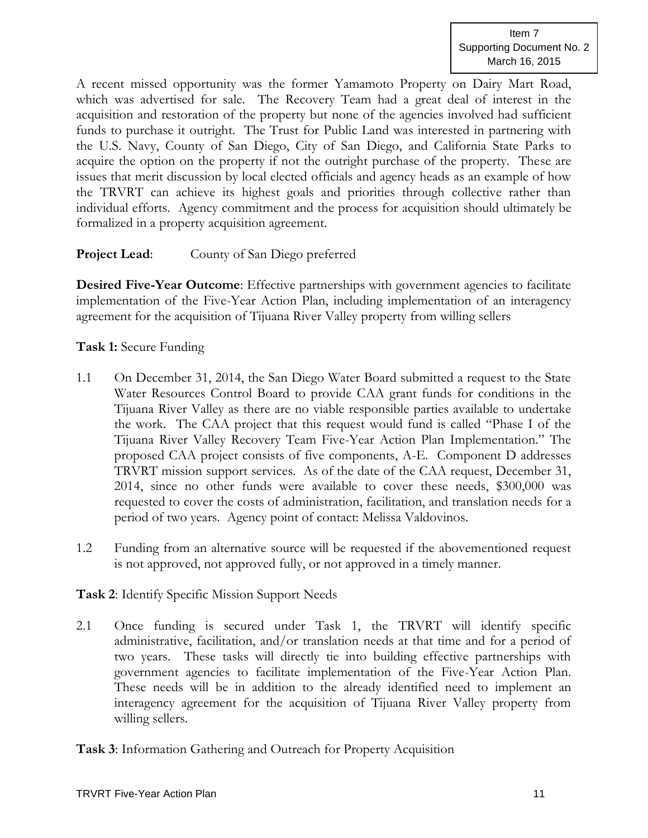A recent missed opportunity was the former Yamamoto Property on Dairy Mart Road, which was advertised for sale. The Recovery Team had a great deal of interest in the acquisition and restoration of the property but none of the agencies involved had sufficient funds to purchase it outright. The Trust for Public Land was interested in partnering with the U.S. Navy, County of San Diego, City of San Diego, and California State Parks to acquire the option on the property if not the outright purchase of the property. These are issues that merit discussion by local elected officials and agency heads as an example of how the TRVRT can achieve its highest goals and priorities through collective rather than individual efforts. Agency commitment and the process for acquisition should ultimately be formalized in a property acquisition agreement.

**Project Lead:** County of San Diego preferred

**Desired Five-Year Outcome**: Effective partnerships with government agencies to facilitate implementation of the Five-Year Action Plan, including implementation of an interagency agreement for the acquisition of Tijuana River Valley property from willing sellers

**Task 1:** Secure Funding

- 1.1 On December 31, 2014, the San Diego Water Board submitted a request to the State Water Resources Control Board to provide CAA grant funds for conditions in the Tijuana River Valley as there are no viable responsible parties available to undertake the work. The CAA project that this request would fund is called "Phase I of the Tijuana River Valley Recovery Team Five-Year Action Plan Implementation." The proposed CAA project consists of five components, A-E. Component D addresses TRVRT mission support services. As of the date of the CAA request, December 31, 2014, since no other funds were available to cover these needs, \$300,000 was requested to cover the costs of administration, facilitation, and translation needs for a period of two years. Agency point of contact: Melissa Valdovinos.
- 1.2 Funding from an alternative source will be requested if the abovementioned request is not approved, not approved fully, or not approved in a timely manner.

**Task 2**: Identify Specific Mission Support Needs

2.1 Once funding is secured under Task 1, the TRVRT will identify specific administrative, facilitation, and/or translation needs at that time and for a period of two years. These tasks will directly tie into building effective partnerships with government agencies to facilitate implementation of the Five-Year Action Plan. These needs will be in addition to the already identified need to implement an interagency agreement for the acquisition of Tijuana River Valley property from willing sellers.

**Task 3**: Information Gathering and Outreach for Property Acquisition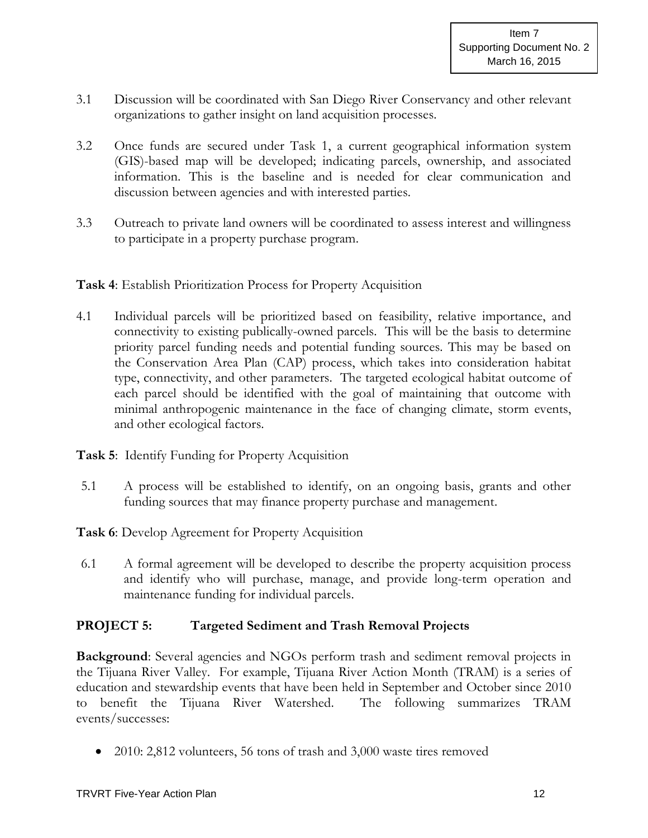- 3.1 Discussion will be coordinated with San Diego River Conservancy and other relevant organizations to gather insight on land acquisition processes.
- 3.2 Once funds are secured under Task 1, a current geographical information system (GIS)-based map will be developed; indicating parcels, ownership, and associated information. This is the baseline and is needed for clear communication and discussion between agencies and with interested parties.
- 3.3 Outreach to private land owners will be coordinated to assess interest and willingness to participate in a property purchase program.

**Task 4**: Establish Prioritization Process for Property Acquisition

4.1 Individual parcels will be prioritized based on feasibility, relative importance, and connectivity to existing publically-owned parcels. This will be the basis to determine priority parcel funding needs and potential funding sources. This may be based on the Conservation Area Plan (CAP) process, which takes into consideration habitat type, connectivity, and other parameters. The targeted ecological habitat outcome of each parcel should be identified with the goal of maintaining that outcome with minimal anthropogenic maintenance in the face of changing climate, storm events, and other ecological factors.

**Task 5**: Identify Funding for Property Acquisition

5.1 A process will be established to identify, on an ongoing basis, grants and other funding sources that may finance property purchase and management.

**Task 6**: Develop Agreement for Property Acquisition

6.1 A formal agreement will be developed to describe the property acquisition process and identify who will purchase, manage, and provide long-term operation and maintenance funding for individual parcels.

# **PROJECT 5: Targeted Sediment and Trash Removal Projects**

**Background**: Several agencies and NGOs perform trash and sediment removal projects in the Tijuana River Valley. For example, Tijuana River Action Month (TRAM) is a series of education and stewardship events that have been held in September and October since 2010 to benefit the Tijuana River Watershed. The following summarizes TRAM events/successes:

2010: 2,812 volunteers, 56 tons of trash and 3,000 waste tires removed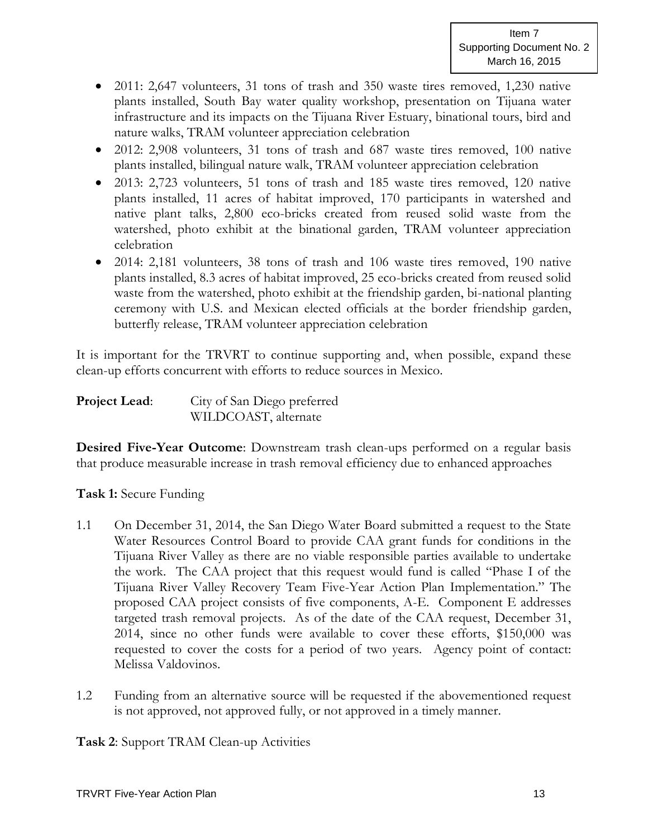- 2011: 2,647 volunteers, 31 tons of trash and 350 waste tires removed, 1,230 native plants installed, South Bay water quality workshop, presentation on Tijuana water infrastructure and its impacts on the Tijuana River Estuary, binational tours, bird and nature walks, TRAM volunteer appreciation celebration
- 2012: 2,908 volunteers, 31 tons of trash and 687 waste tires removed, 100 native plants installed, bilingual nature walk, TRAM volunteer appreciation celebration
- 2013: 2,723 volunteers, 51 tons of trash and 185 waste tires removed, 120 native plants installed, 11 acres of habitat improved, 170 participants in watershed and native plant talks, 2,800 eco-bricks created from reused solid waste from the watershed, photo exhibit at the binational garden, TRAM volunteer appreciation celebration
- 2014: 2,181 volunteers, 38 tons of trash and 106 waste tires removed, 190 native plants installed, 8.3 acres of habitat improved, 25 eco-bricks created from reused solid waste from the watershed, photo exhibit at the friendship garden, bi-national planting ceremony with U.S. and Mexican elected officials at the border friendship garden, butterfly release, TRAM volunteer appreciation celebration

It is important for the TRVRT to continue supporting and, when possible, expand these clean-up efforts concurrent with efforts to reduce sources in Mexico.

| <b>Project Lead:</b> | City of San Diego preferred |
|----------------------|-----------------------------|
|                      | WILDCOAST, alternate        |

**Desired Five-Year Outcome**: Downstream trash clean-ups performed on a regular basis that produce measurable increase in trash removal efficiency due to enhanced approaches

#### **Task 1:** Secure Funding

- 1.1 On December 31, 2014, the San Diego Water Board submitted a request to the State Water Resources Control Board to provide CAA grant funds for conditions in the Tijuana River Valley as there are no viable responsible parties available to undertake the work. The CAA project that this request would fund is called "Phase I of the Tijuana River Valley Recovery Team Five-Year Action Plan Implementation." The proposed CAA project consists of five components, A-E. Component E addresses targeted trash removal projects. As of the date of the CAA request, December 31, 2014, since no other funds were available to cover these efforts, \$150,000 was requested to cover the costs for a period of two years. Agency point of contact: Melissa Valdovinos.
- 1.2 Funding from an alternative source will be requested if the abovementioned request is not approved, not approved fully, or not approved in a timely manner.

**Task 2**: Support TRAM Clean-up Activities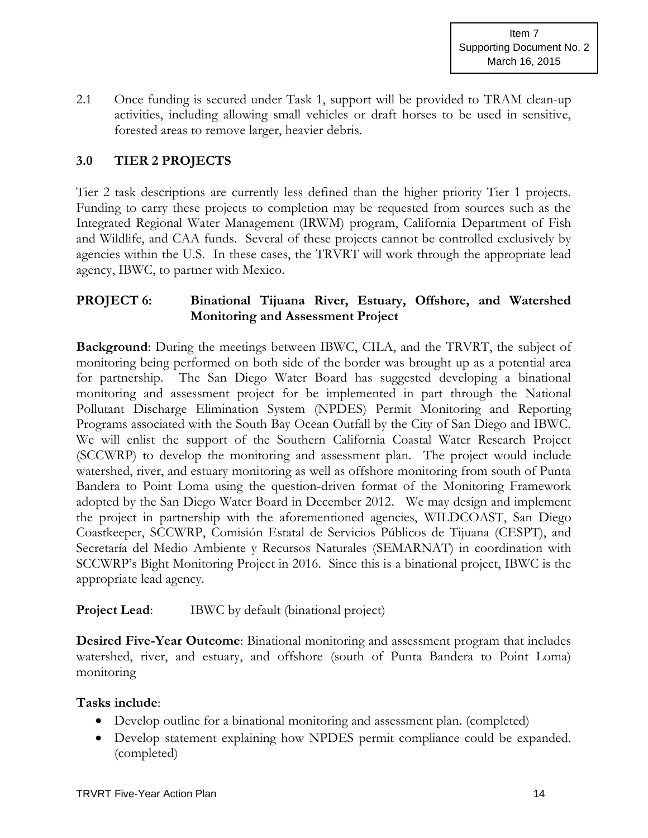2.1 Once funding is secured under Task 1, support will be provided to TRAM clean-up activities, including allowing small vehicles or draft horses to be used in sensitive, forested areas to remove larger, heavier debris.

# **3.0 TIER 2 PROJECTS**

Tier 2 task descriptions are currently less defined than the higher priority Tier 1 projects. Funding to carry these projects to completion may be requested from sources such as the Integrated Regional Water Management (IRWM) program, California Department of Fish and Wildlife, and CAA funds. Several of these projects cannot be controlled exclusively by agencies within the U.S. In these cases, the TRVRT will work through the appropriate lead agency, IBWC, to partner with Mexico.

# **PROJECT 6: Binational Tijuana River, Estuary, Offshore, and Watershed Monitoring and Assessment Project**

**Background**: During the meetings between IBWC, CILA, and the TRVRT, the subject of monitoring being performed on both side of the border was brought up as a potential area for partnership. The San Diego Water Board has suggested developing a binational monitoring and assessment project for be implemented in part through the National Pollutant Discharge Elimination System (NPDES) Permit Monitoring and Reporting Programs associated with the South Bay Ocean Outfall by the City of San Diego and IBWC. We will enlist the support of the Southern California Coastal Water Research Project (SCCWRP) to develop the monitoring and assessment plan. The project would include watershed, river, and estuary monitoring as well as offshore monitoring from south of Punta Bandera to Point Loma using the question-driven format of the Monitoring Framework adopted by the San Diego Water Board in December 2012. We may design and implement the project in partnership with the aforementioned agencies, WILDCOAST, San Diego Coastkeeper, SCCWRP, Comisión Estatal de Servicios Públicos de Tijuana (CESPT), and Secretaría del Medio Ambiente y Recursos Naturales (SEMARNAT) in coordination with SCCWRP's Bight Monitoring Project in 2016. Since this is a binational project, IBWC is the appropriate lead agency.

#### **Project Lead:** IBWC by default (binational project)

**Desired Five-Year Outcome**: Binational monitoring and assessment program that includes watershed, river, and estuary, and offshore (south of Punta Bandera to Point Loma) monitoring

#### **Tasks include**:

- Develop outline for a binational monitoring and assessment plan. (completed)
- Develop statement explaining how NPDES permit compliance could be expanded. (completed)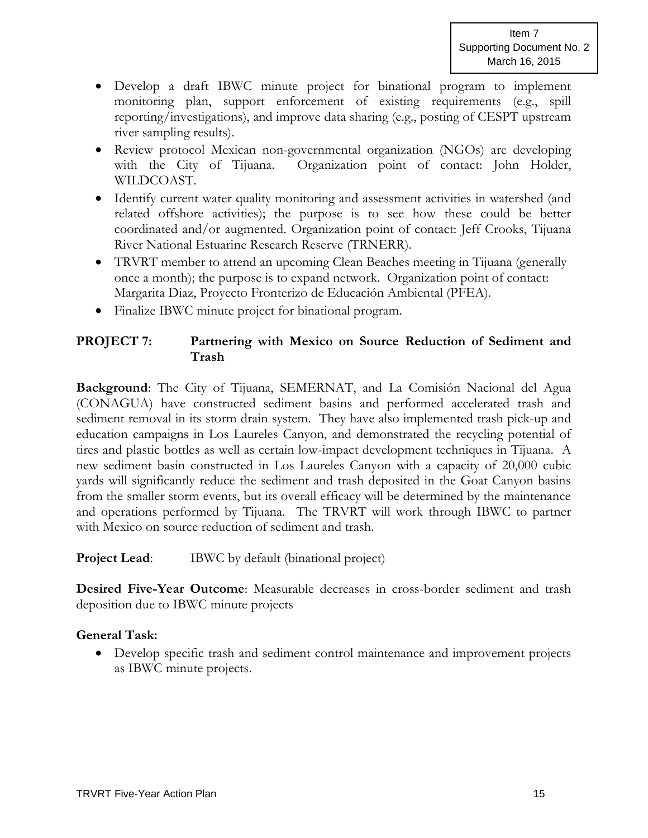- Develop a draft IBWC minute project for binational program to implement monitoring plan, support enforcement of existing requirements (e.g., spill reporting/investigations), and improve data sharing (e.g., posting of CESPT upstream river sampling results).
- Review protocol Mexican non-governmental organization (NGOs) are developing with the City of Tijuana. Organization point of contact: John Holder, WILDCOAST.
- Identify current water quality monitoring and assessment activities in watershed (and related offshore activities); the purpose is to see how these could be better coordinated and/or augmented. Organization point of contact: Jeff Crooks, Tijuana River National Estuarine Research Reserve (TRNERR).
- TRVRT member to attend an upcoming Clean Beaches meeting in Tijuana (generally once a month); the purpose is to expand network. Organization point of contact: Margarita Diaz, Proyecto Fronterizo de Educación Ambiental (PFEA).
- Finalize IBWC minute project for binational program.

# **PROJECT 7: Partnering with Mexico on Source Reduction of Sediment and Trash**

**Background**: The City of Tijuana, SEMERNAT, and La Comisión Nacional del Agua (CONAGUA) have constructed sediment basins and performed accelerated trash and sediment removal in its storm drain system. They have also implemented trash pick-up and education campaigns in Los Laureles Canyon, and demonstrated the recycling potential of tires and plastic bottles as well as certain low-impact development techniques in Tijuana. A new sediment basin constructed in Los Laureles Canyon with a capacity of 20,000 cubic yards will significantly reduce the sediment and trash deposited in the Goat Canyon basins from the smaller storm events, but its overall efficacy will be determined by the maintenance and operations performed by Tijuana. The TRVRT will work through IBWC to partner with Mexico on source reduction of sediment and trash.

# **Project Lead:** IBWC by default (binational project)

**Desired Five-Year Outcome**: Measurable decreases in cross-border sediment and trash deposition due to IBWC minute projects

# **General Task:**

 Develop specific trash and sediment control maintenance and improvement projects as IBWC minute projects.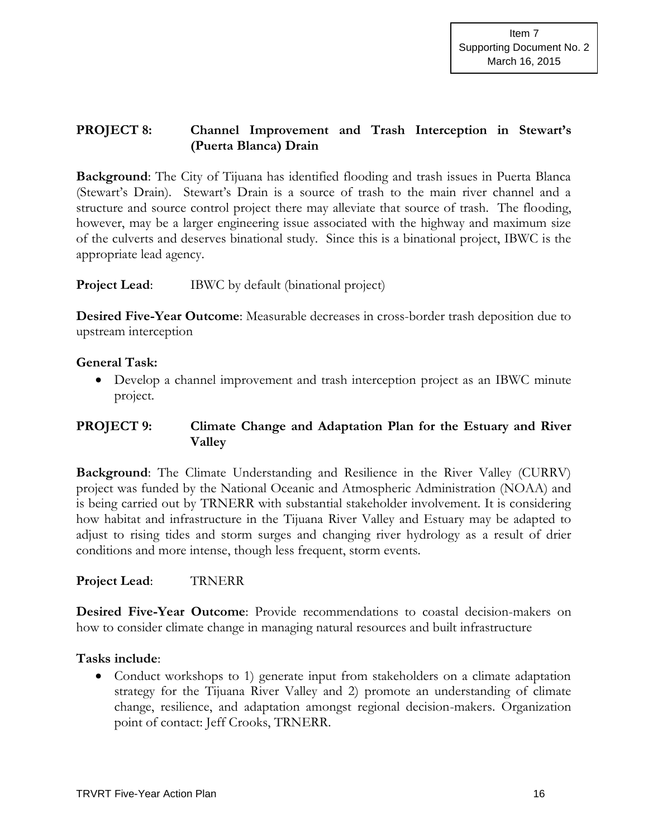# **PROJECT 8: Channel Improvement and Trash Interception in Stewart's (Puerta Blanca) Drain**

**Background**: The City of Tijuana has identified flooding and trash issues in Puerta Blanca (Stewart's Drain). Stewart's Drain is a source of trash to the main river channel and a structure and source control project there may alleviate that source of trash. The flooding, however, may be a larger engineering issue associated with the highway and maximum size of the culverts and deserves binational study. Since this is a binational project, IBWC is the appropriate lead agency.

#### **Project Lead:** IBWC by default (binational project)

**Desired Five-Year Outcome**: Measurable decreases in cross-border trash deposition due to upstream interception

## **General Task:**

 Develop a channel improvement and trash interception project as an IBWC minute project.

# **PROJECT 9: Climate Change and Adaptation Plan for the Estuary and River Valley**

**Background:** The Climate Understanding and Resilience in the River Valley (CURRV) project was funded by the National Oceanic and Atmospheric Administration (NOAA) and is being carried out by TRNERR with substantial stakeholder involvement. It is considering how habitat and infrastructure in the Tijuana River Valley and Estuary may be adapted to adjust to rising tides and storm surges and changing river hydrology as a result of drier conditions and more intense, though less frequent, storm events.

#### **Project Lead**: TRNERR

**Desired Five-Year Outcome**: Provide recommendations to coastal decision-makers on how to consider climate change in managing natural resources and built infrastructure

#### **Tasks include**:

• Conduct workshops to 1) generate input from stakeholders on a climate adaptation strategy for the Tijuana River Valley and 2) promote an understanding of climate change, resilience, and adaptation amongst regional decision-makers. Organization point of contact: Jeff Crooks, TRNERR.